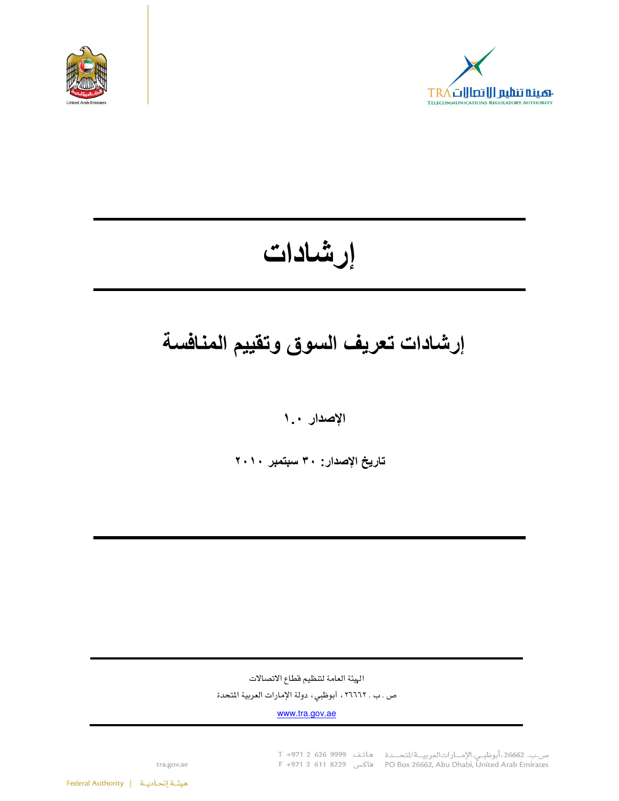



# إرشادات

# إرشادات تعريف السوق وتقييم المنافسة

الإصدار ١.٠

تاريخ الإصدار: ٣٠ سبتمبر ٢٠١٠

الهيئة العامة لتنظيم قطاع الاتصالات ص . ب . ٢٦٦٦٢ ، أبوظبي ، دولة الإمارات العربية المتحدة

www.tra.gov.ae

ص.ب. 26662،أبوظبـي،الإمـــارات|لعربيـــة|لمتحـــدة هـاتـف 9999 966 1 1971 T<br>PO Box 26662, Abu Dhabi, United Arab Emirates هاكس 971 2 611 9229 F

tra.gov.ae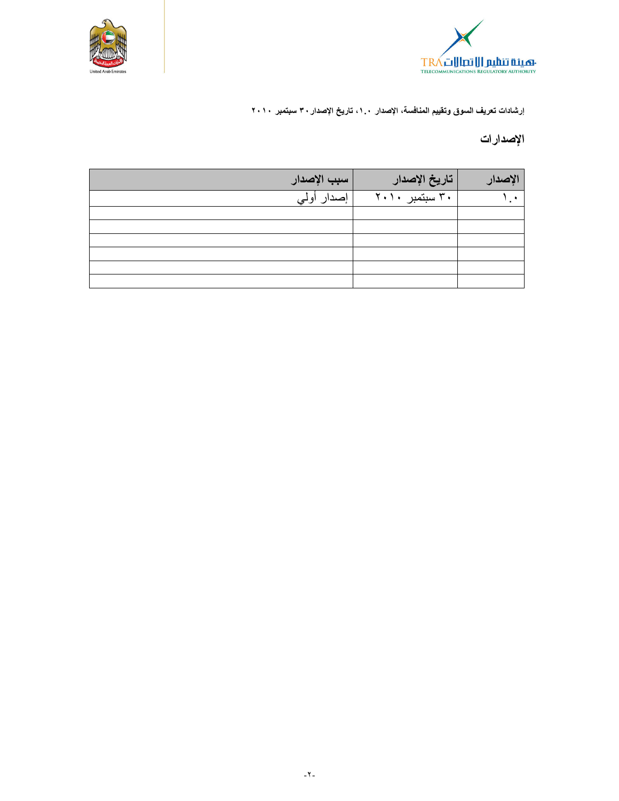



## الإصدارات

| سبب الإصدار             | تاريخ الإصدار  | الإصدار |
|-------------------------|----------------|---------|
| <sub>ا</sub> إصدار أولي | ۳۰ سبتمبر ۲۰۱۰ |         |
|                         |                |         |
|                         |                |         |
|                         |                |         |
|                         |                |         |
|                         |                |         |
|                         |                |         |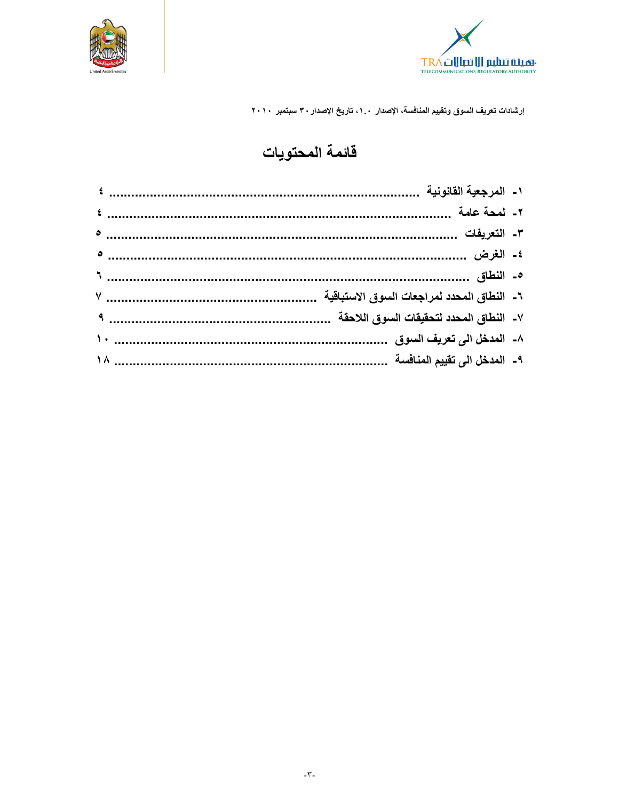



## قائمة المحتويات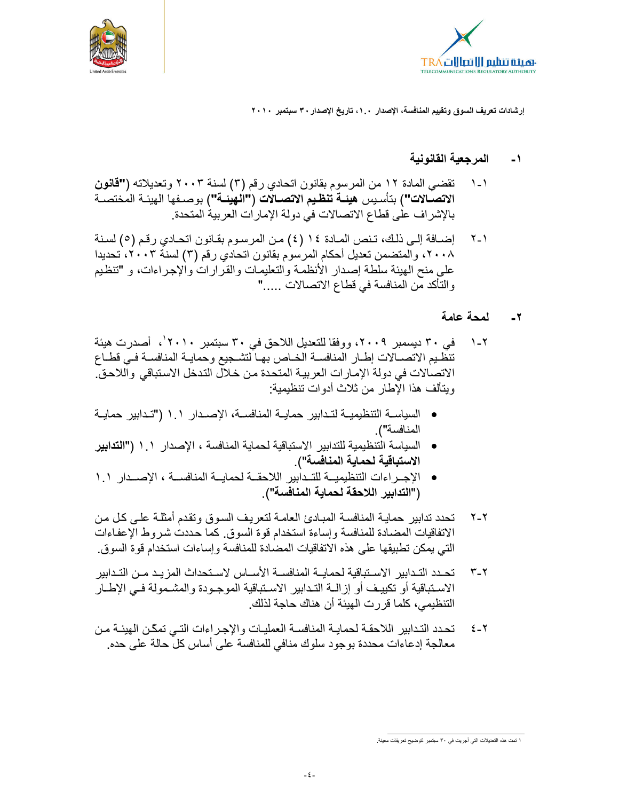



#### المر جعية القانو نية  $-1$

- تقضبي المادة ١٢ من المرسوم بقانون اتحادي رقم (٣) لسنة ٢٠٠٣ وتعديلاته ("قانون  $\lambda$   $\lambda$ الاتصالات") بنأسبس هيئــة تنظـيم الاتصــالات ("الـهيئــة") بوصــفها الـهيئــة المختصــة بالإشراف على قطاع الاتصالات في دولة الإمار ات العربية المتحدة.
- إضـافة إلـى ذلك، تنص المـادة ١٤ (٤) من المرسـوم بقـانون اتحـادي رقم (٥) لسنة  $Y-1$ ٢٠٠٨، والمتضمن تعديل أحكام المرسوم بقانون اتحادي رقم (٣) لسنة ٢٠٠٣، تحديدا على منح الهيئة سلطة إصدار الأنظمة والتعليمات والقرارات والإجراءات، و "تنظيم والتأكد من المنافسة في قطاع الاتصالات ....."

#### لمحة عامة  $-7$

- في ٣٠ ديسمبر ٢٠٠٩، ووفقا للتعديل اللاحق في ٣٠ سبتمبر ٢٠١٠، أصدرت هيئة  $\lambda$   $-\lambda$ تنظيم الاتصمالات إطبار المنافسة الخباص بهبا لتشجيع وحمايبة المنافسة في قطباع الاتصالات في دولة الإمارات العربية المتحدة من خلال التدخل الاستباقي واللاحق. ويتألف هذا الإطار من ثلاث أدوات تنظيمية:
- السياســة التنظيميــة لتـدابير حمايــة المنافســة، الإصــدار ١.١ ("تـدابير حمايــة المنافسة").
- السياسة التنظيمية للتدابير الاستباقية لحماية المنافسة ، الإصدار ١.١ ("التدابير  $\bullet$ الاستباقية لحماية المنافسة").
- الإجـراءات التنظيميـــة للتــدابير اللاحقـــة لحمايـــة المنافســـة ، الإصـــدار ١.١ ("التدابير اللاحقة لحماية المنافسة")
- تحدد تدابير حمايـة المنافسـة المبـادئ العامـة لتعريف السوق وتقدم أمثلـة علـى كل من  $Y-Y$ الاتفاقيات المضادة للمنافسة وإساءة استخدام قوة السوق كما حددت شروط الإعفاءات التي يمكن تطبيقها على هذه الاتفاقيات المضادة للمنافسة وإساءات استخدام قوة السوق.
- تحـدد التـداببر الاسـتباقبـة لـحمابــة المنافســة الأســاس لاســتحداث المز بــد مــن التــداببر  $\mathbf{r}$ - $\mathbf{r}$ الاسـتباقية أو تكييـف أو إزالــة التـدابير الاسـتباقية الموجـودة والمشـمولـة فـي الإطــار التنظيمي، كلما قررت الهيئة أن هناك حاجة لذلك.
- تحدد التدابير اللاحقة لحمايـة المنافسـة العمليـات والإجـراءات التـى تمكّن الـهيئـة مـن  $\S$  -  $\Upsilon$ معالجة إدعاءات محددة بوجود سلوك منافي للمنافسة على أساس كل حالة على حده.

١ تمت هذه التحديلات التي أجريت في ٣٠ سبتمبر لتوضيح تعريفات معينة.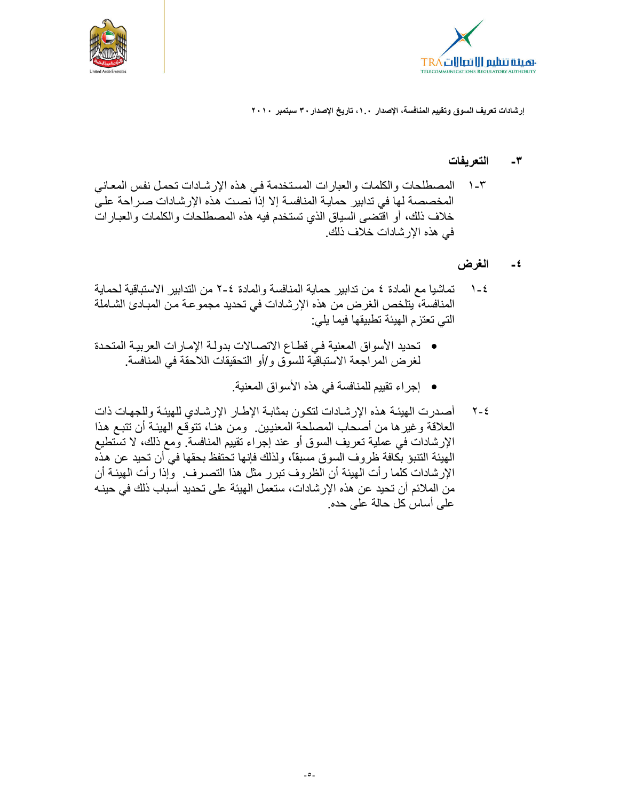



#### التعريفات  $-\tau$

المصطلحات والكلمات والعبارات المستخدمة في هذه الإرشادات تحمل نفس المعاني  $\lambda - \tau$ المخصصة لها في تدابير حماية المنافسة إلا إذا نصت هذه الإرشادات صراحة على خلاف ذلك، أو اقتضبي السياق الذي تستخدم فيه هذه المصطلحات والكلمات والعبارات في هذه الإرشادات خلاف ذلك.

#### الغرض  $-\epsilon$

- تماشيا مع المادة ٤ من تدابير حماية المنافسة و المادة ٤-٢ من التدابير الاستباقية لحماية  $1 - 2$ المنافسة، يتلخص الغرض من هذه الإرشادات في تحديد مجموعة من المبادئ الشاملة التي تعتز م الهيئة تطبيقها فيما يلي:
- تحديد الأسواق المعنية في قطاع الاتصـالات بدولـة الإمـارات العربيـة المتحدة لغرض المراجعة الاستباقية للسوق و/أو التحقيقات اللاحقة في المنافسة.
	- إجراء تقييم للمنافسة في هذه الأسواق المعنية.
- أصدرت الهيئة هذه الإرشادات لتكون بمثابة الإطار الإرشادي للهيئة وللجهات ذات  $Y - 2$ العلاقة وغيرها من أصحاب المصلحة المعنيين ومن هنا، تتوقع الهيئة أن تتبع هذا الإرشادات في عملية تعريف السوق أو عند إجراء تقييم المنافسة. ومع ذلك، لا تستطيع الهيئة التنبؤ بكافة ظروف السوق مسبقاً، ولذلك فإنها تحتفظ بحقها في أن تحيد عن هذه الإرشادات كلما رأت الهيئة أن الظروف تبرر مثل هذا التصـرف. ۖ وإذا رأت المهيئـة أن من الملائم أن تحيد عن هذه الإرشادات، ستعمل الهيئة على تحديد أسباب ذلك في حينـه على أساس كل حالة على حده.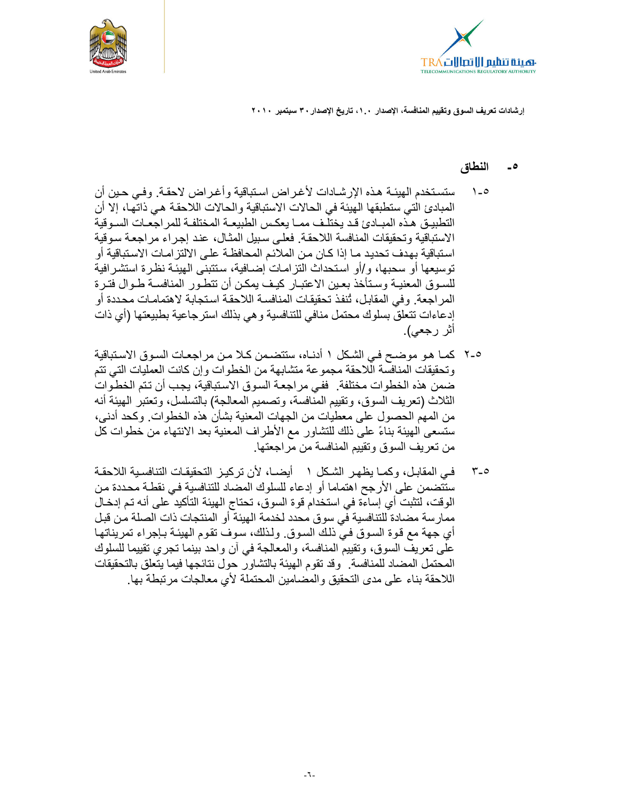



#### النطاق  $\overline{\phantom{a}}$

- ستستخدم الهيئــة هـذه الإرشــادات لأغـراض اسـتباقية وأغـراض لاحقـة. وفـي حـين أن  $1 - 0$ المبادئ الَّتي ستطبقها الهيئة في الحالات الاستباقية والحالات اللاحقة هي ذاتَّها، إلا أن التطبيق هذه المبـادئ قد يختلـف ممـا يعكس الطبيعـة المختلفـة للمر اجعـات السـوقية الاستباقية وتحقيقات المنافسة اللاحقة. فعلى سبيل المثـال، عند إجراء مراجعـة سـوقية استباقية بهدف تحديد مـا إذا كـان مـن الملائـم المحافظـة علـى الالتز امـات الاسـتباقية أو توسيعها أو سحبها، و/أو استحداث التزامات إضافية، ستتبنى الهيئة نظرة استشرافية للسوق المعنيـة وسـتأخذ بعـين الاعتبـار كيـف يمكـن أن تتطـور المنافسـة طـوال فتـرة المراجعة. وفي المقابل، تُنفذ تحقيقات المنافسة اللاحقة استجابة لاهتمامات محددة أو إدعاءات تتعلق بسلوك محتمل منافى للتنافسية وهي بذلك استرجاعية بطبيعتها (أي ذات أثر رجعي).
- ٢-٥ كمـا هـو موضـح فـي الشكل ١ أدنـاه، سنتضـمن كـلا مـن مراجعـات السـوق الاسـتباقية وتحقيقات المنافسة اللاحقة مجموعة متشابهة من الخطوات وإن كانت العمليات التي تتم ضمن هذه الخطوات مختلفة \_ ففي مراجعة السوق الاستباقية، يجب أن تتم الخطوات الثلاث (تعريف السوق، وتقييم المنافسة، وتصميم المعالجة) بالتسلسل، وتعتبر الهيئة أنه من المهم الحصول على معطيات من الجهات المعنية بشأن هذه الخطوات. وكحد أدني، ستسعى الهيئة بناءً على ذلك للتشاور مع الأطراف المعنية بعد الانتهاء من خطوات كل من تعريف السوق وتقييم المنافسة من مراجعتها.
- فـي المقابـل، وكمـا يظهـر الشـكل ١- أيضــا، لأن تركيـز التحقيقـات التنافسـية اللاحقـة  $r_{-}$ ستَتَضمن على الأرجح اهتماما أو إدعاء للسلوك المضاد للتنافسية في نقطة محددة من الوقت، لتثبت أي إساءة في استخدام قوة السوق، تحتاج الهيئة التأكيد على أنه تم إدخال ممار سة مضادة للتنافسية في سوق محدد لخدمة الهيئة أو المنتجات ذات الصلة من قبل أي جهة مع قوة السوق في ذلك السوق. ولذلك، سوف تقوم الهيئة بـإجراء تمريناتهـا على تعريف السوق، وتقييم المنافسة، والمعالجة في أن واحد بينما تجري تقييما للسلوك المحتمل المضاد للمنافسة وقد تقوم الهيئة بالتشاور حول نتائجها فيما يتعلق بالتحقيقات اللاحقة بناء على مدى التحقيق والمضامين المحتملة لأى معالجات مرتبطة بها.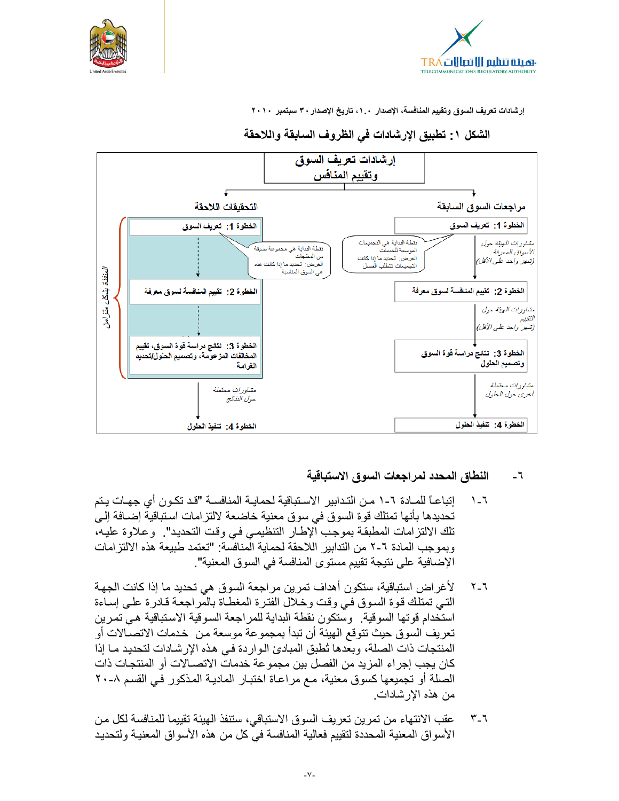





## الشكل ١: تطبيق الإرشادات في الظروف السابقة واللاحقة

#### النطاق المحدد لمراجعات السوق الاستباقية  $-7$

- إتباعـًا للمـادة ٦-١ مـن التـدابير الاسـتباقية لـحمايــة المنافســة "قـد تكـو ن أي جـهـات بـتم  $1 - 7$ تحديدها بأنها تمتلك قوة السوق في سوق معنية خاضعة لالتزامات استباقية إضـافة إلـي تلك الالتزامات المطبقة بموجب الإطار التنظيمي في وقت التحديد". وعلاوة عليه، و بموجب المادة ٦-٢ من التدابير اللاحقة لحماية المنافسة: "تعتمد طبيعة هذه الالتز امات الإضافية على نتيجة تقييم مستوى المنافسة في السوق المعنية".
- لأغراض استباقية، ستكون أهداف تمرين مراجعة السوق هي تحديد ما إذا كانت الجهة  $Y - 7$ التيي تمتلك قوة السوق فيي وقت وخلال الفترة المغطاة بالمراجعة قادرة علىي إساءة استخدام قو تها السو قبة \_ وستكون نقطة البدابة للمر اجعة السو قبة الاستباقية هي تمر بن تعريف السوق حيث تتوقع الهيئة أن تبدأ بمجموعة موسعة من خدمات الاتصــالات أو المنتجات ذات الصلة، وبعدها تُطبق المبادئ الـواردة فـي هذه الإرشـادات لتحديد مـا إذا كان يجب إجراء المزيد من الفصل بين مجموعة خدمات الاتصــالات أو المنتجـات ذات الصلة أو تجميعها كسوق معنية، مـع مراعـاة اختبـار الماديـة المذكور فـي القسم ٨-٢٠ من هذه الار شادات
- عقب الانتهاء من تمرين تعريف السوق الاستباقي، ستنفذ الهيئة تقييما للمنافسة لكل من  $r - 7$ الأسواق المعنية المحددة لتقييم فعالية المنافسة في كل من هذه الأسواق المعنيـة ولتحديـد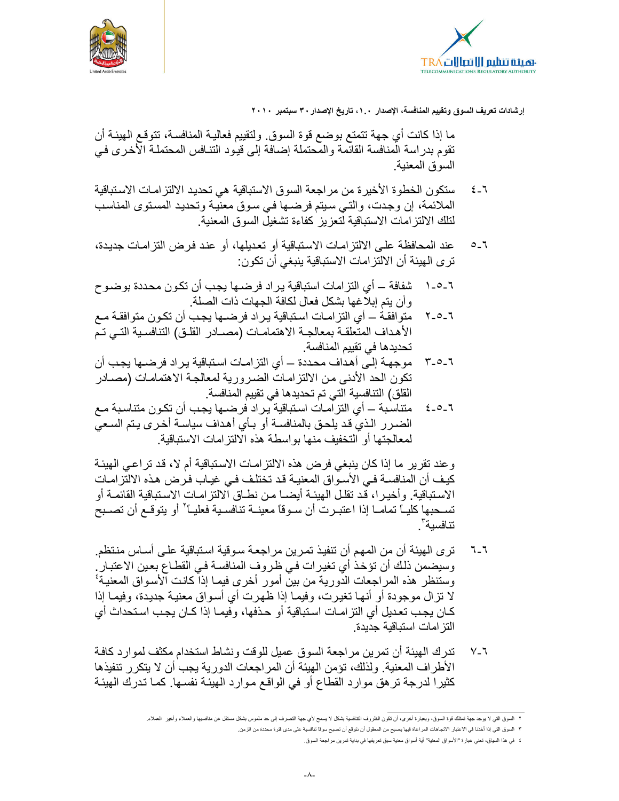



ما إذا كانت أي جهة نتمتع بوضع قوة السوق. ولتقييم فعالية المنافسة، تتوقع الهيئة أن تقوم بدراسة الْمنافسة القانِّمة والمِّحتملة إضافة إلى قيود التنـافس المحتملـة الأخرى في السوق المعنية.

- ستكون الخطوة الأخيرة من مراجعة السوق الاستباقية هي تحديد الالتزامـات الاستباقية  $2 - 7$ الملائمة، إن وجدت، والتي سيتم فرضمها في سوق معنية وتحديد المستوى المناسب لنلك الالتزامات الاستباقية لتعزيز كفاءة تشغيل السوق المعنية
- عند المحافظة على الالتزامـات الاستباقية أو تعديلها، أو عند فرض التزامـات جديدة،  $0 - 7$ تر ى الهيئة أن الالتزامات الاستباقية ينبغي أن تكون:
- شفافة ـــ أي التزامات استباقية يراد فرضــها يجب أن تكون محددة بوضـوح  $1 - 0 - 7$ وأن يتم إبلاغها بشكل فعال لكافة الجهات ذات الصلة
- متوافقــة ـــــ أي التزامــات اسـتبـاقيـة يــراد فرـضــها يـجـب أن تكـون متوافقــة مــع  $Y - 0 - 7$ الأهداف المتعلقـة بمعالجـة الاهتمامـات (مصــادر القلـق) التنافسـية التـي تـمّ تحديدها في تقييم المنافسة.
- موجهــة إلـّـى أهـداف مـحـددة ــــ أي النزرامــات اسـتباقيـة يـرـاد فرـضــها يجـب أن  $5 - 2 - 7$ تكون الحد الأدنى من الالتزامات الضرورية لمعالجة الاهتمامات (مصـادر القلق) التنافسية التي تم تحديدها في تقييم المنافسة.
- متناسبة ـــ أي التزامـات استباقية يـراد فرضــها يجب أن تكـون متناسبة مـع  $2 - 0 - 7$ الضررر الذي قد يلحق بالمنافسة أو بـأي أهداف سياسة أخرى يتم السـعي لمعالجتها أو التخفيف منها بو اسطة هذه الالتز امات الاستباقية.

وعند تقرير ما إذا كان ينبغي فرض هذه الالتزامات الاستباقية أم لا، قد تراعي الهيئة كيف أن المنافسة فـي الأسـواق المعنيــة قد تختلـف فـي غيــاب فـرض هـذه الالتّزامــات الاستباقية. وأخيرا، قد تقلَّل الهيئـة أيضــا مـن نطــاق الالتزامـات الاستباقية القائمـة أو تسـحبها كليــًا تمامــا إذا اعتبـرت أن سـوقاً معينــة تنافسـية فعليــاً ۚ أو يتوقــع أن تصــبح تنافسيةآ

- تر ي الهيئة أن من المهم أن تنفيذ تمرين مر اجعة سوقية استباقية على أساس منتظم.  $7 - 7$ وسيضمن ذلك أن تؤخذُ أي تغيرات في ظروف المنافسة في القطاع بعين الاعتبار ِ. وستنظر هذه المراجعات الدورية من بينٌ أمورٍ أخرى فيمـا إذاً كانـت الأسـواق المعنيـةُ ۚ لا تزال موجودة أو أنها تغيرت، وفيمـا إذا ظهرت أي أسواق معنيـة جديدة، وفيمـا إذا كـان يجب تعديل أي النز امـات اسـتباقية أو حـذفها، وفيمـا إذا كـان يجب اسـتحداث أي التز امات استباقية حديدة
- تدر ك الهيئة أن تمر بن مر اجعة السوق عميل للوقت ونشاط استخدام مكثف لمو ار د كافـة  $V - 7$ الأطراف المعنية. ولذلك، تؤمن الهيئة أن المراجعات الدورية يجب أن لا يتكرر تنفيذها كثيرا لدرجة تر هق موارد القطاع أو في الواقع موارد الهيئة نفسها. كما تدرك الهيئة

٢ السوق التي لا يوجد جهة تمتلك قوة السوق، وبعبارة أخرى، أن تكون الظروف التنافسية بشكل لا يسعم المعدس بشكل مستقل عن منافسيها والعملاء وأخير العملاء.

٣- السوق التي إذا أخذنا في الاعتبار الاتجاهات المراعاة فيها يصبح من المعقول أن نتوقع أن تصبح سوقا تنافسية على مدى فترة محددة من الزمن.

٤ في هذا السياق، تعني عبارة "الأسواق المعنية" أية أسواق معنية سبق تعريفها في بداية تمرين مر اجعة السوق.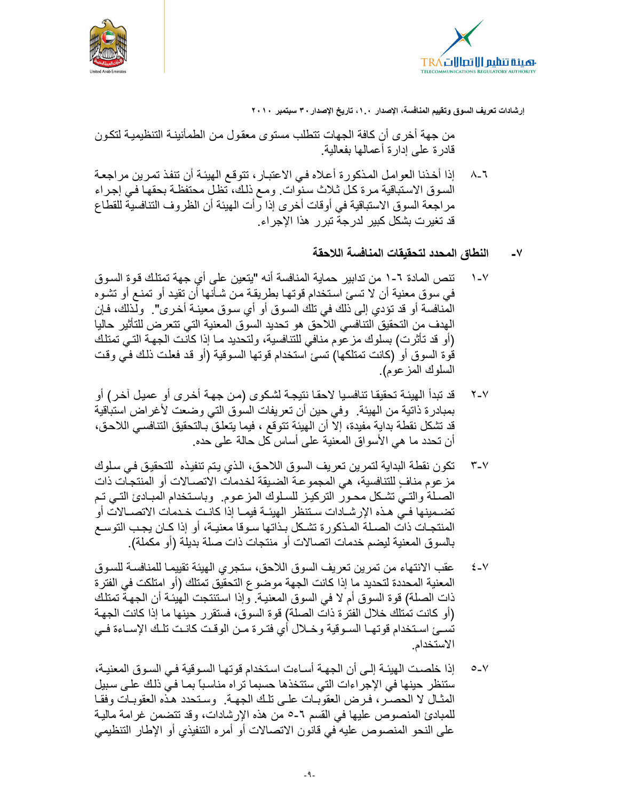



من جهة أخر ي أن كافة الجهات تتطلب مستوى معقول من الطمأنينـة التنظيميـة لتكـون قادر ۃ علّٰے ادار ۃ أعمالٰھا بفعالٰیة.

- إذا أخذنا العوامل المذكورة أعلاه في الاعتبار ، تتوقع الهيئة أن تنفذ تمرين مراجعة  $\Lambda$ -السوق الاستباقية مرة كل ثلاث سنوات. ومع ذلك، تظل محتفظة بحقها في إجراء مراجعة السوق الاستباقية في أوقات أخرى إذا رأت الهيئة أن الظروف التنافسية للقطاع قد تغيرت بشكل كبير لدرجة تبرر هذا الإجراء.
	- النطاق المحدد لتحقيقات المنافسة اللاحقة  $-\mathsf{V}$
- تنص المادة ٦-١ من تدابير حماية المنافسة أنه "يتعين على أي جهة تمتلك قوة السوق  $\lambda$  -  $\lambda$ في سوق معنية أن لا تسئ استخدام قوتها بطريقة من شـأنها أن تقيد أو تمنـع أو تشـوه المنافسة أو قد تؤدي إلى ذلك في تلك السوق أو أي سوق معينـة أخـري". ۖ ولذلك، فـإن الهدف من التحقيق التنافسي اللاحق هو تحديد السوق المعنية التي تتعرض للتأثير حاليا (أو قد تأثَّرت) بسلوك مزعوم منافي للتنافسية، ولتحديد مـا إذا كانت الجهـة التـى تمتلك قوة السوق أو (كانت تمتلكها) تسئ استخدام قوتها السوقية (أو قد فعلت ذلك فـي وقت السلوك المزعوم).
- قد تبدأ الهيئـة تحقيقـا تنافسـيا لاحقـا نتيجـة لشكوى (مـن جـهـة أخـرى أو عميـل آخـر) أو  $Y - Y$ بمبادرة ذاتية من الهيئة ـ وفي حين أن تعريفات السوق التي وضعت لأغراض استباقية قد تشكل نقطة بداية مفيدة، إلا أن الميئة تتوقع ، فيما يتعلق بـالتحقيق التنافسـي اللاحق، أن تحدد ما هي الأسواق المعنية على أساس كل حالة على حده.
- تكون نقطة البداية لتمرين تعريف السوق اللاحق، الذي يتم تنفيذه للتحقيق في سلوك  $Y - Y$ مز عوم منافٍ للتنافسية، هي المجموعة الضيقة لخدمات الاتصــالات أو المنتجـات ذات الصـلـة والتــي تشـكل محـور التركيـز للسـلوك المزعـوم. وبـاسـتخدام المبــادئ التــي تـم تضـمينها فـي هـذه الإرشــادات سـتنظر الـهيئــة فيمــا إذا كانـت خـدمات الاتصــالات أو المنتجات ذات الصلة المذكورة تشكل بذاتها سوقا معنية، أو إذا كـان يجب التوسـع بالسوق المعنية ليضم خدمات اتصالات أو منتجات ذات صلة بديلة (أو مكملة).
- عقب الانتهاء من تمرين تعريف السوق اللاحق، ستجرى الهيئة تقييمـا للمنافسـة للسـوق  $E-V$ المعنية المحددة لتحديد ما إذا كانت الجهة موضوع التحقيق تمتلك (أو امتلكت في الفترة ذات الصلة) قوة السوق أم لا في السوق المعنيـة. وإذا استنتجت الهيئـة أن الجهـة تمتلك (أو كانت تمتلك خلال الفترة ذات الصلة) قوة السوق، فستقرر حينها ما إذا كانت الجهة تسـئ اسـتخدام قوتهـا السـوقية وخـلال أي فتـرة مـن الوقـت كانـت تلـك الإسـاءة فـي الاستخدام
- إذا خلصت الهيئـة إلـى أن الجهـة أسـاءت اسـتخدام قوتهـا السـوقية فـي السـوق المعنيـة،  $O-N$ ستنظر حينها في الإجراءات التي ستتخذها حسبما تراه مناسباً بمـا فـي ذلك علـي سبيل المثال لا الحصر، فرض العقوبات على تلك الجهة. وستحدد هذه العقوبات وفقا للمبادئ المنصوص عليها في القسم ٦-٥ من هذه الإرشادات، وقد تتضمن غرامة مالية على النحو المنصوص عليه في قانون الاتصالات أو أمره التنفيذي أو الإطار التنظيمي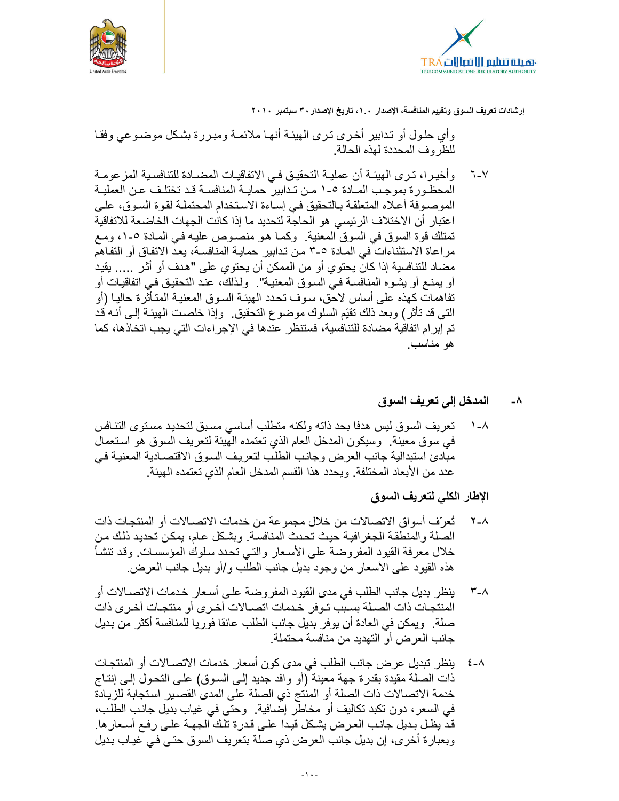



وأي حلول أو تدابير أخرى ترى الهيئة أنهـا ملائمـة ومبـررة بشكل موضـوعي وفقـا للظر وف المحددة لهذه الحالة.

- وأخبِرا، ترى الهيئـة أن عمليـة التحقيـق فـى الاتفاقيـات المضـادة للتنافسـية المز عومـة  $7 - V$ المحظـورة بموجـب المـادة 0-١ مـن تـدابير حمايـة المنافسـة قـد تختلـف عـن العمليـة الموصـوفة أعـلاه المنعلقـة بـالنحقيق فـي إسـاءة الاسـنخدام المحتملـة لقوة السـوق، علـي اعتبار أن الاختلاف الرئيسي هو الحاجة لتحديد ما إذا كانت الجهات الخاضعة للاتفاقية تمتلك قوة السوق في السوق المعنية. وكما هو منصوص عليه في المادة ٥-٥، ومع مراعاة الاستثناءات ّفي المـادة ٥-٣ من تدابير حمايـة المنافسـة، يعدّ الاتفـاق أو التفـاهم مضـاد للتنافسية إذا كان يحتوي أو من الممكن أن يحتوي على "هدف أو أثـر ..... يقيد أو يمنـع أو يشـوه المنافسـة فـي السـوق المعنيـة". ۖ ولـذلك، عنـد التحقيـق فـي اتفاقيـات أو تفاهمات كهذه على أساس لاحق، سوف تحدد الهيئـة السوق المعنيـة المتـأثرة حاليـا (أو التبي قد تأثَّل وبعد ذلك نقيِّم السلوك موضوع التحقيق وإذا خلصت الهيئـة إلـي أنـه قد تم إبرام اتفاقية مضادة للتنافسية، فستنظر عندها في الإجراءات التي يجب اتخاذها، كما هو مناسب.
	- المدخل إلى تعريف السوق -7
- تعريف السوق ليس هدفا بحد ذاته ولكنه متطلب أساسي مسبق لتحديد مستوى التنـافس  $\lambda - \lambda$ في سوقٍ معينة. وسيكون المدخل العام الذي تعتمده الهيئة لتعريف السوق هو استعمال مبادئ استبدالية جانب العرض وجانب الطلب لتعريف السوق الاقتصـادية المعنيـة فـي عدد من الأبعاد المختلفة. ويحدد هذا القسم المدخل العام الذي تعتمده الهيئة.
	- الإطار الكلى لتعريف السوق
- تُعرّف أسواق الاتصالات من خلال مجموعة من خدمات الاتصــالات أو المنتجـات ذات  $Y - A$ الصلة والمنطقة الجغرافية حيث تحدث المنافسة. وبشكل عام، يمكن تحديد ذلك من خلال معرفة القيود المفروضة على الأسعار والتبي تحدد سلوك المؤسسات. وقد تنشأ هذه القيود على الأسعار من وجود بديل جانب الطلب و/أو بديل جانب العرض.
- ينظر بديل جانب الطلب في مدى القيود المفروضة علىي أسعار خدمات الاتصــالات أو  $r - \lambda$ المنتجـات ذات الصـلـة بسـبب تـوفر خـدمات اتصــالات أخـري أو منتجـات أخـري ذات صلة. ۖ ويمكن في العادة أن يوفر بديل جانب الطلب عائقا فوريا للمنافسة أكثر من بديل جانب العرض أو التهديد من منافسة محتملة.
- ينظر تبديل عرض جانب الطلب في مدى كون أسعار خدمات الاتصــالات أو المنتجـات そーハ ذات الصلة مقيدة بقدرة جهة معينة (أو وافد جديد إلـي السوق) علـي التحول إلـي إنتـاج خدمة الاتصالات ذات الصلة أو المنتج ذي الصلة على المدى القصبير استجابة للزيادة في السعر ، دون نكبد تكاليف أو مخاطر إضافية. وحتى في غياب بديل جانب الطلب، قد يظل بديل جانب العرض يشكل قيدا على قدرة تلك الجهـة علـى رفـع أسـعار ها. وبعبارة أخرى، إن بديل جانب العرض ذي صلة بتعريف السوق حتى في غيـاب بـديل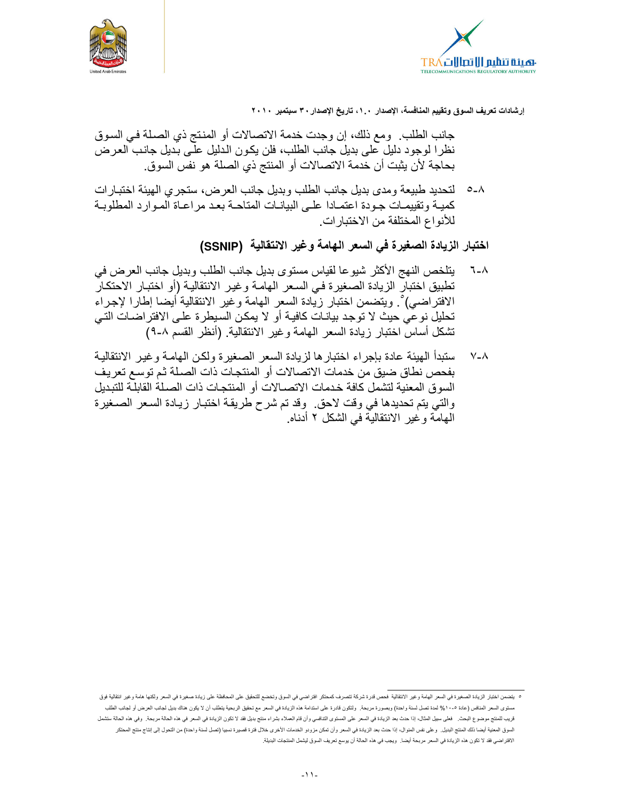



جانب الطلب. ومع ذلك، إن وجدت خدمة الاتصالات أو المنتج ذي الصلة في السوق نظرا لوجود دليل على بديل جانب الطلب، فلن يكون الدليل علَّى بديل جانب العرض بحاجة لأن يثبت أن خدمة الاتصالات أو المنتج ذي الصلة هو نفس السوق.

- ٥-٨ لتحديد طبيعة ومدى بديل جانب الطلب وبديل جانب العرض، ستجرى الهيئة اختبـارات كميــة وتقييمــات جـودة اعتمــادا علــى البيانــات المتاحــة بعـد مراعــاة المـوارد المطلوبــة للأنواع المختلفة من الاختبارات.
	- اختبار الزيادة الصغيرة في السعر الهامة وغير الانتقالية (SSNIP)
- يتلخص النهج الأكثر شيوعا لقياس مستوى بديل جانب الطلب وبديل جانب العرض في 7-Y تطبيق اختبار الزيادة الصغيرة في السعر الهامـة وغير الانتقاليـة (أو اختبـار الاحتكـار الافتراضـي)°. ويتضمن اختبار زيّادة السعر الـهامة وغير الانتقالية أيضـا إطـارا لإجـراء تحليل نو عي حيث لا توجد بيانـات كافيـة أو لا يمكن السـيطر ة علـي الافتر اضــات التـي تشكل أساس اختبار زيادة السعر الهامة وغير الانتقالية (أنظر القسم ٨-٩)
- ستبدأ الهيئة عادة بإجراء اختبارها لزيادة السعر الصغيرة ولكن الهامة وغير الانتقالية  $V - A$ بفحص نطاق ضيق من خدمات الاتصالات أو المنتجات ذات الصلة ثم توسع تعريف السوق المعنية لتشمل كافة خدمات الاتصــالات أو المنتجـات ذات الصـلة القابلّـة للتبديل والتي يتم تحديدها في وقت لاحق. وقد تم شرح طريقة اختبار زيادة السعر الصغيرة الْمِامة و غير الانتقالية في الشكل ٢ أدناه.

<sup>○</sup> يتضمن اختبار الزيادة الصغيرة في السعر الهامة وغير الانتقالية فحص قدرة كمحتر المترق في المركز الفكر في المحلفظة على زيادة صغيرة في السعر ولكنها هامة وغير انتقالية فوق مستوى السعر المنافس (عادة ٥-١٠% لمدة تصل لسنة واحدة) ويصورة مربحة. ولتكون قائل النفر مع تحقيق الربحية يتطلب أن لا يكون هناك بديل لجانب العرض أو لجلتب العرض أو لجلت قريب للمنتج موضوع البحث. فطي سيل المثال، إذا حنث بعد الزيادة في السعر على التصال الشاه بشراء منتج بدل فقد لا تكون الزيادة في السعر في هذه الحالة مربحة. وفي هذه الحالة مربحة. وفي هذه الحالة مربحة. وفي هذه الحالة مربحة. وفي السوق المعنية أيضا ذللنا المنتج البديل. وعلى نفس المنوال، إذا من المعن المعن المناسر المراس والمرد المناسر المسلسل المن المسنة واحدة) من التحول إلى إنتاج منتج المحتكر الافتراضي فقد لا تكون هذه الزيادة في السعر مربحة أيضا. ويجب في هذه الحالة أن يوسع تعريف السوق ليثمل المنتجات البديلة.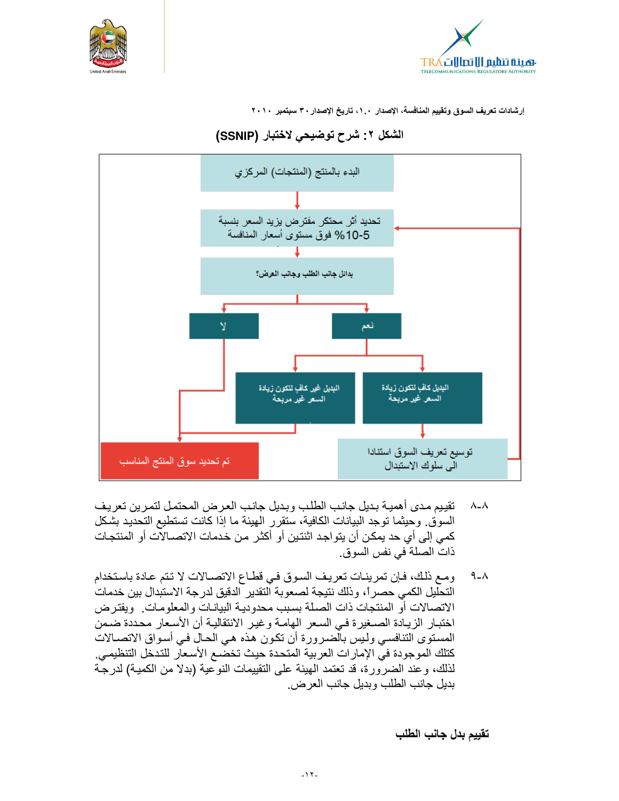





الشكل ٢: شرح توضيحي لاختبار (SSNIP)

- تقييم مدى أهمية بديل جانب الطلب وبديل جانب العرض المحتمل لتمرين تعريف  $\lambda - \lambda$ السوفي وحيثما توجد البيانات الكافية، ستقرر الهيئة ما إذا كانت تستطيع التحديد بشكل كمي إلى أي حد يمكن أن يتواجد اثنتين أو أكثر ٍ من خدمات الاتصــالآت أو المنتجـات ذات الصلة في نفس السوق.
- ومع ذلك، فإن تمرينات تعريف السوق في قطـاع الاتصـالات لا تتم عـادة باستخدام  $9 - A$ التحليل الكمى حصر ا، وذلك نتيجة لصعوبة التقدير الدقيق لدرجة الاستبدال بين خدمات الاتصالات أو المنتجات ذات الصلة بسبب محدودية البيانات والمعلومات. ويفترض اختبار الزيادة الصغيرة في السعر الهامة وغير الانتقالية أن الأسعار محددة ضمن المستوى التنافسي وليس بالضرورة أن تكون هذه هي الحال في أسواق الاتصالات كتلك الموجودة في الإمارات العربية المتحدة حيث تخصُّع الأسعار للتدخل التنظيمي. لذلك، وعند الضرَّورة، قد تعتمد الهيئة على التقييمات النوَّعية (بدلا من الكميـة) لدرجَّة بديل جانب الطلب وبديل جانب العر ض.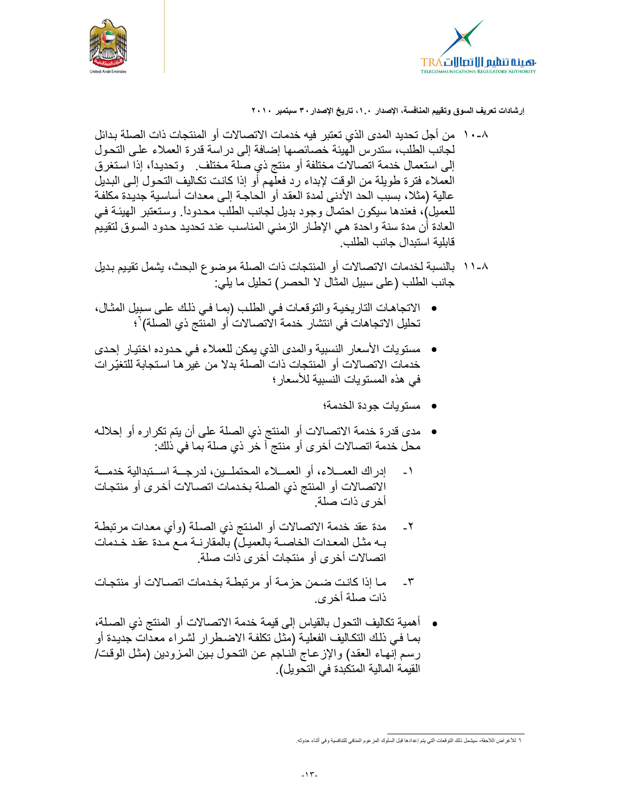



- ٠٨-١٠ من أجل تحديد المدى الذي تعتبر ٍ فيه خدمات الاتصـالات أو المنتجات ذات الصـلة بـدائل لجانب الطلب، ستدر س الهيئة خصائصها إضافة إلى در اسة قدر ة العملاء على التحول إلى استعمال خدمة اتصالات مختلفة أو منتج ذي صلة مختلف وتحديداً، إذا استغرق العملاء فترة طويلة من الوقت لإبداء رد فعلُّهم أو إذا كانت تكاليف التحول إلىي البديل عالية (مثلا، بسبب الحد الأدنى لمدة العقد أو الحاجة إلى معدات أساسية جديدة مكلفة للعميل)، فعندها سيكون احتمال وجود بديل لجانب الطلب محدوداً. وستعتبر الهيئة في العادة أن مدة سنة واحدة هي الإطار الزمني المناسب عند تحديد حدود السوق لتقييم قابلية استبدال جانب الطلب
- ١١-٨ بالنسبة لخدمات الاتصالات أو المنتجات ذات الصلة موضوع البحث، يشمل تقييم بديل جانب الطلب (على سبيل المثال لا الحصر) تحليل ما يلي:
- الاتجاهات التاريخية والتوقعات في الطلب (بمـا فـي ذلك علـى سبيل المثـال، تحليل الاتجاهات في انتشار خدمة الاتصالات أو المنتج ذي الصلة)' ؛
- مستويات الأسعار النسبية والمدى الذي يمكن للعملاء في حدوده اختيار إحدى خدمات الاتصالات أو المنتجات ذات الصلة بدلا من غير هـا استجابة للتغيّرات في هذه المستويات النسبية للأسعار ؛
	- مستويات جودة الخدمة؛
- مدى قدرة خدمة الاتصالات أو المنتج ذي الصلة على أن يتم تكراره أو إحلالـه محل خدمة اتصالات أخرى أو منتج اّ خر ذي صلة بما في ذلك:
- إدر اك العمــــلاء، أو العمــــلاء المـحتملـــين، لدرجــــة اســـتبدالية خدمــــة  $\overline{\phantom{0}}$ الاتصالات أو المنتج ذي الصلة بخدمات اتصـالات أخرى أو منتجات أخر ي ذات صلة.
- مدة عقد خدمة الاتصالات أو المنتج ذي الصلة (وأي معدات مرتبطـة  $-7$ بـه مثـل المعـدات الخاصــة بالعميـل) بالمقارنــة مـع مـدة عقـد خـدمات اتصالات أخر ي أو منتجات أخر ي ذات صلة.
- مـا إذا كانـت ضـمن حز مـة أو مر تبطـة بخـدمات اتصــالات أو منتجـات  $-\tau$ ذات صلة أخر ي
- أهمية تكاليف التحول بالقياس إلى قيمة خدمة الاتصالات أو المنتج ذي الصلة، بمـا فـي ذلك التكـاليف الفعليـة (مثل تكلفـة الاضـطرار لشـراء معدات جديدة أو رسم إنهاء العقد) والإزعاج الناجم عن التحول بين المزودين (مثل الوقت/ القيمة المالية المتكبدة في التحويل).

٦ للأغراض اللاحقة، سيشمل ذلك التوقعات التي يتم إعدادها قبل السلوك المز عوم المنافي للتنافسية وفي أثناء حدوثه.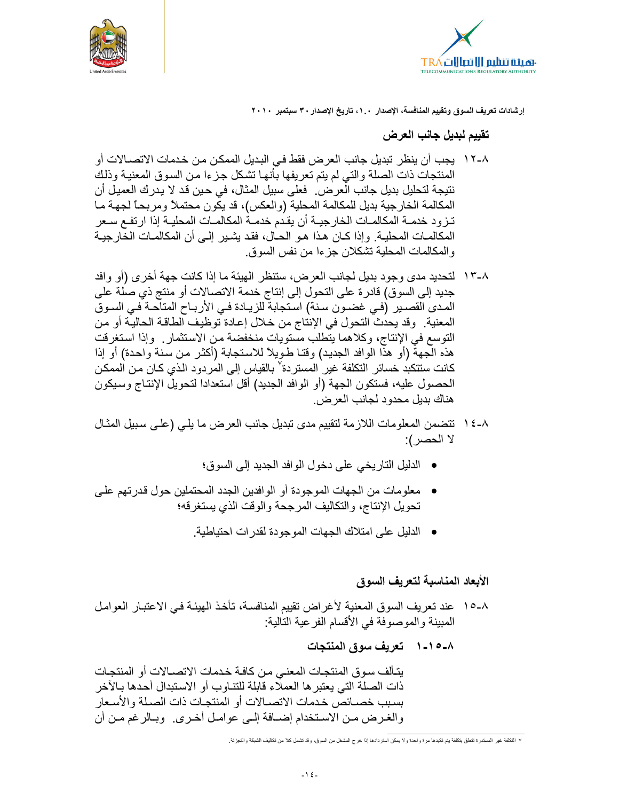



### تقييم لبديل جانب العرض

- ١٢-٨ يجب أن ينظر تبديل جانب العرض فقط في البديل الممكن من خدمات الاتصــالات أو المنتجات ذات الصلة والتي لم يتم تعريفها بأنها تشكل جزءا من السوق المعنية وذلك نتيجة لتحليل بديل جانب العرص. فعلى سبيل المثال، في حين قد لا يدرك العميل أن المكالمة الخارجية بديل للمكالمة المحلية (والعكس)، قد يكون محتملاً ومربحـًا لجهـة مـا تـزود خدمــة المكالمــات الخارجيــة أن يقـدم خدمــة المكالمــات المحليــة إذا ارتفــع ســعر المكالمـات المحليــة. وإذا كــان هـذا هـو الـحـال، فقد يشـير إلــى أن المكالمــات الخـارجيــة والمكالمات المحلية تشكلان جزءا من نفس السوق
- ١٣-٨ لتحديد مدى وجود بديل لجانب العرض، ستنظر الهيئة ما إذا كانت جهة أخرى (أو وافد جديد إلى السوق) قادرة على النحول إلى إنتاج خدمة الاتصالات أو منتج ذي صلَّة على المدى القصـير (فـي غضـون سنة) استجابةً للزيـادة فـي الأربـاح المتلَّحـة فـي السـوق المعنية. وقد يحدث النحول في الإنتاج من خلال إعادة توظيف الطاقة الحالية أو من التوسع في الإنتاج، وكلاهما يتطلب مستويات منخفضة من الاستثمار ٍ وإذا استغرقت هذه الجهة (أو هذا الوافد الجديد) وقتا طويلاً للاستجابة (أكثر من سنة واحدة) أو إذا كانت ستتكبَّد خسائر التكلفة غير المستردة' بالقياس إلى المردود الذي كـان مـن الممكن الحصول عليه، فستكون الجهة (أو الوافد الجديد) أقل استعدادا لتحويل الإنتـاج وسبكون هناك بديل محدو د لجانب العر ض.
- ١٤-٨ تتضمن المعلومات اللازمة لتقييم مدى تبديل جانب العرض ما يلي (على سبيل المثال لا الحصر):
	- الدليل التاريخي على دخول الوافد الجديد إلى السوق؛
- معلومات من الجهات الموجودة أو الوافدين الجدد المحتملين حول قدرتهم علـي تحويل الإنتاج، والتكاليف المرجحة والوقت الذي يستغرقه؛
	- الدليل على امتلاك الجهات الموجودة لقدرات احتياطية.

#### الأبعاد المناسبة لتعريف السوق

- ٨-١٥ منذ تعريف السوق المعنية لأغراض تقييم المنافسة، تأخذ الهيئة في الاعتبار العوامل المبينة والموصوفة في الأقسام الفرعية التالية:
	- ٨-١٥-١ تعريف سوق المنتجات

يتـألف سوق المنتجـات المعنـى مـن كافـة خـدمات الاتصــالات أو المنتجـات ذات الصلة التي يعتبر ها العملاء قابلة للتنـاوب أو الاستبدال أحدها بـالآخر بسبب خصـائصٌ خـدمات الاتصــالات أو المنتجـات ذات الصـلـة والأسـعار والغرض من الاستخدام إضـافة إلـى عوامـل أخـري. وبـالرغم مـن أن

٧ التكلفة غير المستدرة تتعلق بتكلفة يتم تكبدها مرة واحدة ولا يمكن استردادها إذا خرج المشغل من السوق، وقد تشمل كلا من تكاليف الشبكة والتجزئة.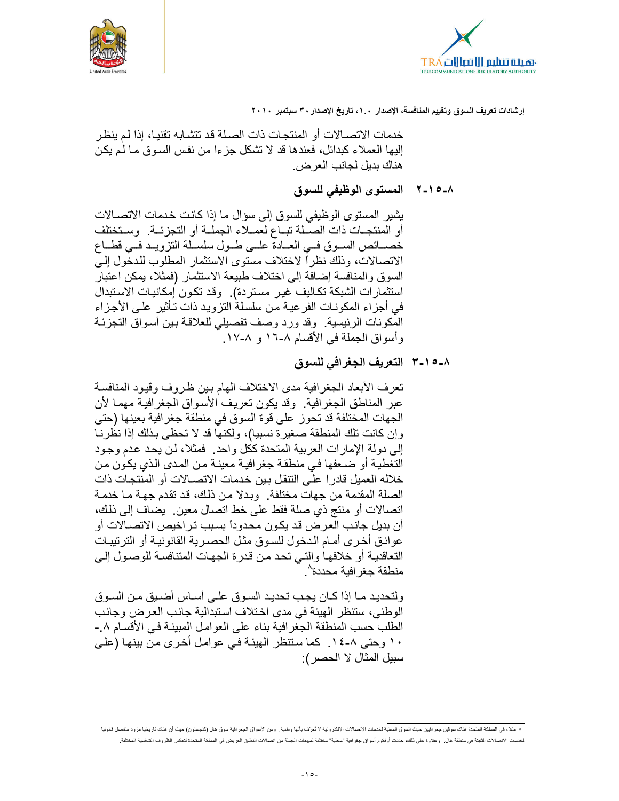



خدمات الاتصــالات أو المنتجـات ذات الصـلـة قد تتشـابـه تقنيـا، إذا لـم ينظـر إليها العملاء كبدائل، فعندها قد لا تشكل جزءا من نفس السوق مـا لـم يكن هناك بديل لجانب العر ض.

## ٨-٥-٢ ١ المستوى الوظيفي للسوق

يشير المستوى الوظيفي للسوق إلى سؤال ما إذا كانت خدمات الاتصـالات أو المنتجـات ذات الصَّـلة تبــاع لعمــلاء الجملــة أو التجزئــة. وسـتختلف خصــائص الســوق فــي العــادة علــي طــول سلســلة التزويــد فــي قطــاع الاتصالات، وذلك نظراً لاختلاف مستوى الاستثمار المطلوب للدخول إلى السوق والمنافسة إضافة إلى اختلاف طبيعة الاستثمار (فمثلا، يمكن اعتبار استثمارات الشبكة تكاليف غير مستردة). وقد تكون إمكانيات الاستبدال في أجزاء المكونـات الفر عيـة مـن سلسـلـة التزويد ذات تـأثير علـى الأجزاء المكونات الرئيسية. وقد ورد وصف تفصيلي للعلاقة بين أسواق التجزئة وأسواق الجملة في الأقسام ١٦-١٦ و ١٧-١٧.

٨-٥-٦- التعريف الجغرافي للسوق

تعرف الأبعاد الجغرافية مدى الاختلاف الهام بين ظروف وقيود المنافسة عبر المناطق الجغرافية. وقد يكون تعريف الأسواق الجغرافية مهما لأن الجهات المختلفة قد تحوز على قوة السوق في منطقة جغرافية بعينها (حتى وإن كانت تلك المنطقة صغير ة نسبيا)، ولكنها قد لا تحظى بذلك إذا نظر نـا إلى دولة الإمارات العربية المتحدة ككل واحد. فمثلا، لن يحد عدم وجود التغطية أو ضعفها في منطقة جغرافية معينة من المدى الذي يكون من خلاله العميل قادرا علَّى النِّنقل بين خدمات الاتصــالات أو المنتجـات ذات الصلة المقدمة من جهات مختلفة. وبدلا من ذلك، قد تقدم جهة ما خدمة اتصالات أو منتج ذي صلة فقط على خط اتصال معين. يضاف إلى ذلك، أن بديل جانب العرض قد يكون محدوداً بسبب تراخيص الاتصـالات أو عو ائـق أخـر ي أمـام الـدخو ل للسـو ق مثـل الـحصـر يـة القانو نيــة أو التر تيبـات التعاقدية أو خلافها والتي تحد من قدرة الجهات المتنافسة للوصول إلى منطقة حغر افية محددة ْ

ولتحديد مــا إذا كــان يجـب تحديـد السـوق علــى أســاس أضــيق مـن السـوق الوطني، ستنظر الهيئة في مدى اختلاف استبدالية جانب العرض وجانب الطلب حسب المنطقة الجغر افية بناء على العوامل المبينـة فـي الأقسـام ٨ ـ-١٠ وحتى ٤-١٤. كما ستنظر الهيئة في عوامل أخرى من بينها (على سبيل المثال لا الحصر ):

٨ مثلا، في الملكة المتحدة هذك سوقين جغر اليوق المعنية لخدمات المعالات الإلكترونية لا تُعرّف برقا الأسواق الجغرافية سوق هال (كنجستون) حيث أن هناك تاريخيا مزود منفصل قانوني لخدمك الاتصالات الثابتة في منطقة هال. وعلاوة على ذلك، حددت أوفكوم أسواق جغرافية منظفة استحلته المعائلة العراق العريض في المملكة المتحدة لتعكس الظروف القافسية المؤاسفة المتحدة لتعكس الظروف القافسية المختلفة.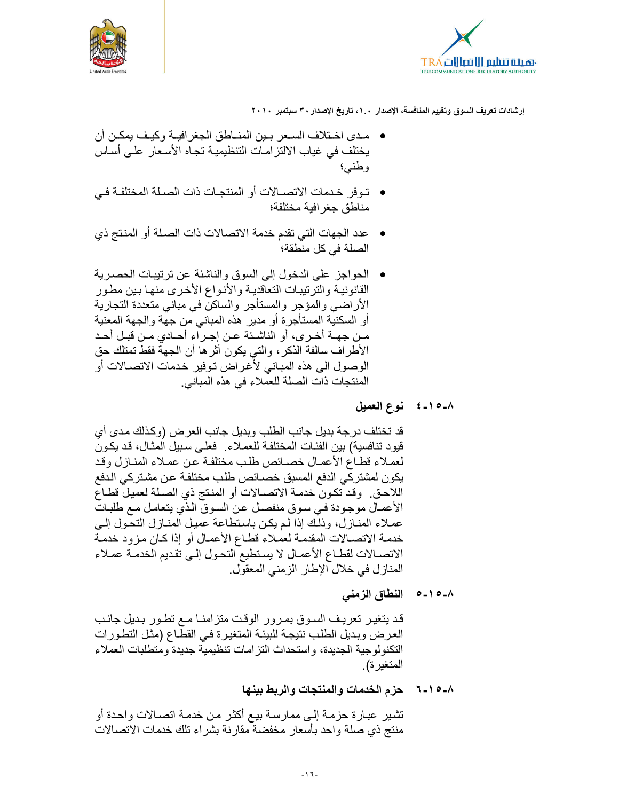



- مدى اختلاف السـعر بـين المنـاطق الجغرافيـة وكيـف يمكـن أن يختلف في غياب الالتزامات التنظيمية تجاه الأسعار على أساس وطنبئ
- تـوفر خـدمات الاتصــالات أو المنتجـات ذات الصـلة المختلفـة فـي مناطق جغر افية مختلفة؛
- عدد الجهات التي تقدم خدمة الاتصـالات ذات الصـلة أو المنتج ذي الصلة في كل منطقة؛
- الحواجز على الدخول إلى السوق والناشئة عن ترتيبات الحصرية القانونية والترتيبات التعاقدية والأنواع الأخرى منها بين مطور الأراضي والمؤجر والمستأجر والساكن في مباني متعددة التجارية أو السكنية المستأجرة أو مدير هذه المباني من جهة والجهة المعنية مـن جهــة أخـري، أو الناشـئة عـن إجـراء أحــادي مـن قبـل أحـد الأطراف سالفة الذكر ، والتي يكون أثر ها أن الجهة فقط تمتلك حق الوصول الى هذه المباني لأغراض توفير خدمات الاتصـالات أو المنتجات ذات الصلة للعملاء في هذه المباني.

### ٨-١٥-٤ نوع العميل

قد تختلف درجة بديل جانب الطلب وبديل جانب العرض (وكذلك مدى أي قيود تنافسية) بين الفئات المختلفة للعملاء فعلى سبيل المثال، قد يكون لعملاء قطاع الأعمال خصائص طلب مختلفة عن عملاء المنازل وقد يكون لمشتركي الدفع المسبق خصـائص طلب مختلفـة عن مشـتركي الدفع اللاحق. وقد تكون خدمة الاتصالات أو المنتج ذي الصلة لعميل قطاع الأعصال موجودة في سوق منفصل عن السوق الذي يتعامل مع طلبات عملاء المنـازل، وذلك إذا لم يكن باستطاعة عميل المنـازل التحـول إلـي خدمة الاتصـالات المقدمـة لعمـلاء قطـاع الأعمـال أو إذا كـان مـزود خدمـة الاتصـالات لقطـاع الأعمـال لا يستطيع التحـول إلـى تقديم الخدمـة عمـلاء المناز ل في خلال الإطار الزمني المعقول.

> النطاق الزمنى  $0 - 10 - 1$

قد يتغير تعريف السوق بمرور الوقت متزامنـا مـع تطـور بـديل جانـب العرض وبديل الطلب نتيجة للبيئة المتغيرة في القطاع (مثل التطورات التكنولوجية الجديدة، واستحداث التزامات تنظيمية جديدة ومتطلبات العملاء المتغيرة).

> حزم الخدمات والمنتجات والربط بينها J-10-A

تشير عبارة حزمة إلى ممارسة بيع أكثر من خدمة اتصالات واحدة أو منتج ذي صلة واحد بأسعار مخفضة مقارنة بشراء تلك خدمات الاتصالات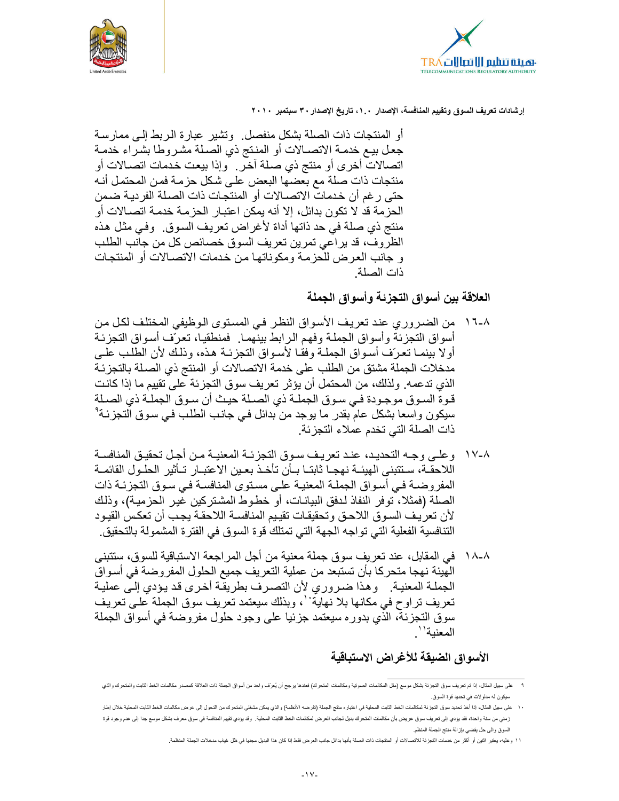



أو المنتجات ذات الصلة بشكل منفصل. وتشير عبارة الربط إلى ممارسة جعل بيع خدمـة الاتصـالات أو المنتج ذي الصـلة مشـروطا بشـراء خدمـة اتصالات أخرى أو منتج ذي صلة آخر . وإذا بيعت خدمات اتصالات أو منتجات ذات صلة مع بعضها البعض على شكل حزمة فمن المحتمل أنـه حتى رغم أن خدمات الاتصــالات أو المنتجـات ذات الصـلـة الفر ديـة ضـمن الحزِ مة قد لا تكون بدائل، إلا أنه يمكن اعتبار الحزِ مة خدمة اتصــالات أو منتج ذي صلة في حد ذاتها أداة لأغراض تعريف السوق. وفي مثل هذه الظروف، قد براعي تمرين تعريف السوق خصائص كل من جانب الطلب و جانب العرض للحزمة ومكوناتها من خدمات الاتصـالات أو المنتجـات ذات الصلة

العلاقة بين أسواق التجزئة وأسواق الجملة

- ١٦-٨ من الضروري عند تعريف الأسواق النظر في المستوى الوظيفي المختلف لكل من أسواق التجزئة وأسواق الجملة وفهم الرابط بينّهما. فمنطقيا، تعرّف أسواق التجزئة أولا بينمـا تعرّف أسواق الجملـة وفقـا لأسـواق التجزيـة هـذه، وذلك لأن الطلب علـى مدخلات الجملة مشتق من الطلب على خدمة الاتصالات أو المنتج ذي الصلة بالتجزئة الذي تدعمه. ولذلك، من المحتمل أن يؤثر تعريف سوق التجزئة على تقييم ما إذا كانت قوة السوق موجودة فـي سـوق الجملـة ذي الصـلة حيث أن سـوق الجملـة ذي الصـلة سيكون واسعا بشكل عام بقدر ما يوجد من بدائل في جانب الطلب في سوق التجزئة ْ ذات الصلة التي تخدم عملاء التجز ئة
- ١٧-٨ وعلـى وجـه التحديـد، عنـد تعريـف سـوق التجزئـة المعنيـة مـن أجـل تحقيـق المنافسـة اللاحقــة، سـتتبنى الهيئــة نهجــا ثابتــا بــأن تأخـذ بعـين الاعتبــار تــأثير الحلـول القائمــة المفروضـة فـي أسـواق الجملـة المعنيـة علـي مسـتوى المنافسـة فـي سـوق التجزئـة ذات الصلة (فمثلا، توفر النفاذ لدفق البيانـات، أو خطـوط المشتركين غيـر الـحزميـة)، وذلك لأن تعريف السوق اللاحق وتحقيقات تقييم المنافسة اللاحقة يجب أن تعكس القيود التنافسية الفعلية التي تواجه الجهة التي تمتلك فوة السوق في الفترة المشمولة بالتحقيق.
- ١٨-٨ في المقابل، عند تعر بف سوق جملة معنية من أجل المر اجعة الاستباقية للسوق، ستتبنى الْهَينَة نهجا متحركا بأن تستبعد من عملية التعريف جميع الحلول المفروضة في أسواق الجملة المعنية. وهذا ضروري لأن التصرف بطريقَّة أخرى قد يؤدي إلـَّى عمليـة تعريف تراوح في مكانها بلا نهاية ``، وبذلك سيعتمد تعريف سوق الجملة على تعريف سوق التجزئة، الذي بدوره سيعتمد جزئيا على وجود حلول مفروضة في أسواق الجملة المعنية' '

الأسواق الضيقة للأغراض الاستباقية

٩ - على سيل المثل، إذا تم تعريف سوق التجزئة بشكل موسع (مثل المكالمات المتحرك الفضل الغري الغراف المجرد والخلال الملكة كمصدر مكالمات الخط الثابت والمتحر وكالمات الخط الثابت والمقول المركز المحل المعالم المعلى المعلى الخلالة سيكون له مدلولات في تحديد قوة السوق.

١٠ على سيل المثال، إذا أخذ تحديد سوق التجزئة لمكالمات الخطفة المناسخ المعالي المعام والذارية المنع المنعرك من التحول إلى عرض مكالمات الخط الثابت المحلوة خلال الفت الخط الثابت المحلوة خلال الفال الفط الثابت المحلوة خلال الظ زمني من سنة واحدة، فقد يزدي إلى تعريف سوق عريض بأن مكالمك المترك لمجالس المعالية المولد المحاسد والفراس والمنافسة في سوق معرف بشكل موسع جدا إلى عدم وجود قوة السوق والى حل يقضي بإز الة منتج الجملة المنظم.

١١ وعليه، يعتبر اثنين أو أكثر من خدمات التجزئة للاتصالات أو المنتجات ذات الصلة بأنها بدائع المنافض الذال هذا البديل مجديا في ظل غياب مدخلات الجملة المنظمة.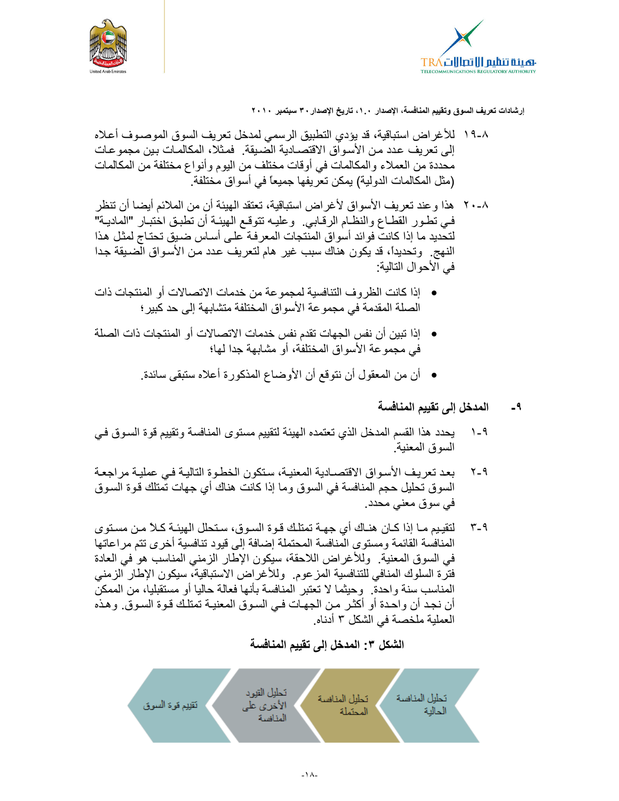



- ١٩-٨ للأغراض استباقية، قد يؤدي التطبيق الرسمي لمدخل تعريف السوق الموصـوف أعـلاه إلى تعريف عدد من الأسواق الاقتصـادية الضبيقة . فمثلا، المكالمـات بـين مجمو عـات محددة من العملاء والمكالمات في أوقات مختلف من اليوم وأنواع مختلفة من المكالمات (مثل المكالمات الدولية) يمكن تعريفها جميعًا في أسواق مختلفة.
- ٢٠-٨ هذا و عند تعر يف الأسو اق لأغر اض استباقية، تعتقد الهيئة أن من الملائم أيضا أن تنظر في نطور القطاع والنظام الرفابي. وعليـه نتوفـع الهيئـة أن نطبـق اختبـار "الماديـة" لتحديد ما إذا كانت فوائد أسواق المنتجات المعرفة على أساس ضبق تحتـاج لمثل هذا النهج. وتحديدًا، قد يكون هناك سبب غير هام لتعريف عدد من الأسواق الضيقة جدا في الأحوال التالية:
- إذا كانت الظروف التنافسية لمجموعة من خدمات الاتصالات أو المنتجات ذات الصلة المقدمة في مجموعة الأسواق المختلفة متشابهة إلى حد كبير ؛
- إذا تبين أن نفس الجهات تقدم نفس خدمات الاتصـالات أو المنتجات ذات الصلة في مجموعة الأسواق المختلفة، أو مشابهة جدا لها؛
	- أن من المعقول أن نتوقع أن الأوضاع المذكورة أعلاه ستبقى سائدة.

#### المدخل إلى تقييم المنافسة  $-9$

- يحدد هذا القسم المدخل الذي تعتمده الـهيئة لتقييم مستوى المنافسة وتقييم قوة السـوق فـي  $1 - 9$ السوق المعنية.
- بعد تعريف الأسواق الاقتصـادية المعنيـة، ستكون الخطـوة التاليـة فـي عمليـة مراجعـة ۲-۹ السوق تحليل حجم المنافسة في السوق وما إذا كانت هناك أي جهات تمتلك قوة السوق في سوق معنى محدد.
- لنقيبِم مـا إذا كـان هنـاك أي جهـة تمتلك قـوة السـوق، سـتحلل الـهيئـة كـلأ مـن مسـتوي  $r - 9$ المنافسة القائمة ومستوى المنافسة المحتملة إضافة إلى قيود تنافسية أخرى تتم مراعاتها في السوق المعنية. وللأغراض اللاحقة، سيكون الإطار الزمني المناسب هو في العادة فترة السلوك المنافي للتنافسية المزعوم وللأغراض الاستباقية، سيكون الإطار الزمني المناسب سنة واحدة. ۖ وحيثما لا تعتبر المنافسة بأنها فعالة حاليا أو مستقبليا، من الممكن أن نجد أن واحدة أو أكثـر مـن الجهـات فـي السـوق المعنيـة تمتلـك قـوة السـوق. وهـذه العملية ملخصة في الشكل ٣ أدناه.

## الشكل ٣: المدخل إلى تقييم المنافسة

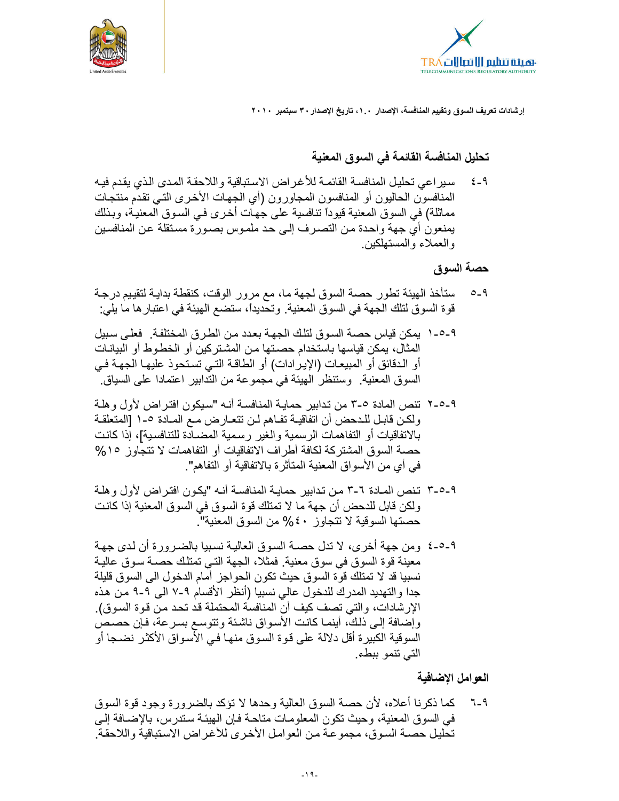



#### تحليل المنافسة القائمة في السوق المعنية

سبر اعى تحليل المنافسة القائمة للأغراض الاستباقية واللاحقة المدى الذي يقدم فيه  $\xi - 9$ المنافسون الحاليون أو المنافسون المجاورون (أي الجهات الأخرى التي تقدم منتجات مماثلة) في السوق المعنية قيوداً تنافسية على جهات أخرى في السوق المعنية، وبذلك يمنعون أي جهة واحدة من التصرف إلى حد ملموس بصورة مستقلة عن المنافسين والعملاء والمستهلكين

#### حصة السوق

- ستأخذ الهيئة تطور حصة السوق لجهة ما، مع مرور الوقت، كنقطة بدايـة لتقييم درجـة  $O-9$ قوة السوق لتلك الجهة في السوق المعنية. وتحديداً، ستضع الهيئة في اعتبار ها ما يلي:
- ٩-٥-١ يمكن قياس حصــة السـوق لتلك الجهـة بعدد مـن الطـرق المختلفـة. فعلـى سبيل المثال، بمكن قياسها باستخدام حصىتها من المشتركين أو الخطوط أو البيانـات أو الدقائق أو المبيعات (الإيرادات) أو الطاقـة التـي تستحوذ عليهـا الجهـة فـي السوق المعنية. ۖ وستنظر الهيئة في مجموعة من التدابير اعتمادا على السياق.
- ٩-٥-٢ تنص المادة ٥-٣ من تدابير حمايـة المنافسـة أنـه "سبكون افتر اض لأول و هلـة ولكن قابل للدحض أن اتفاقيـة تفـاهم لـن تتعـار ض مـع المـادة ٥-١ [المتعلقـة بالاتفاقيات أو التفاهمات الرسمية والغير رسمية المضبادة للتنافسية]، إذا كانت حصـة السوق المشتركة لكافة أطراف الاتفاقيات أو التفاهمات لا تتجاوز ١٥% في أي من الأسواق المعنية المتأثرة بالاتفاقية أو التفاهم".
- ٩-٥-٣ تنص المادة ٦-٣ من تدابير حماية المنافسة أنـه "يكون افتراض لأول وهلـة ولكن قابل للدحض أن جهة ما لا تمتلك قوة السوق في السوق المعنية إذا كانت حصنها السوقية لا تتجاوز ٤٠% من السوق المعنية".
- ٩-٥-٤ ومن جهة أخرى، لا تدل حصــة السوق العاليـة نسبيا بالضـرورة أن لدى جهـة معينة فوة السوق في سوق معنية. فمثلا، الجهة التي تمتلك حصـة سـوق عاليـة نسبيا قد لا تمتلك قوة السوق حيث تكون الحواجز أمام الدخول الى السوق قليلة جدا والتهديد المدرك للدخول عالى نسبيا (أنظر الأقسام ٩-٧ الى ٩-٩ من هذه الإرشادات، والتي تصف كيف أن المنافسة المحتملة قد تحد من قوة السوق). وإضافة إلى ذلك، أينمـا كانت الأسواق ناشئة وتتوسع بسرعة، فإن حصص السوقية الكبيرة أقل دلالة على قوة السوق منها فـي الأسواق الأكثر نضـجا أو التي تنمو ببطء.

#### العوامل الإضافية

كما ذكرنا أعلاه، لأن حصة السوق العالية وحدها لا تؤكد بالضرورة وجود قوة السوق  $7 - 9$ في السوق المعنية، وحيث تكون المعلومات متاحـة فـإن الـهيئـة سـتدرس، بـالإضــافة إلـي تحليل حصــة السـوق، مجموعـة مـن العوامـل الأخـري للأغـراض الاسـتباقية واللاحقـة.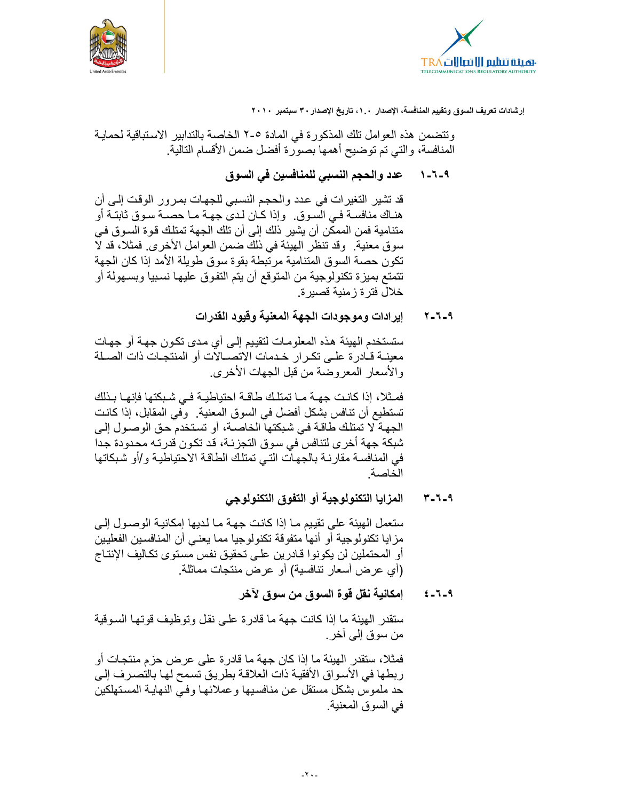



وتتضمن هذه العوامل تلك المذكورة في المادة ٥-٢ الخاصة بالتدابير الاستباقية لحماية المنافسة، والتي تم توضيح أهمها بصورة أفضل ضمن الأقسام التالية.

> عدد والحجم النسبي للمنافسين في السوق  $1 - 7 - 9$

قد تشير التغيرات في عدد والحجم النسبي للجهات بمرور الوقت إلـي أن هنـاك منافسـة فـي السـوق. وإذا كـان لـدي جـهـة مـا حصــة سـوق ثابتـة أو متنامية فمن الممكِّن أن يشير ذلك إلى أن تلك الجهة تمتلك قوة السوق في سوق معنية. وقد تنظر الهيئة في ذلك ضمن العوامل الأخرى. فمثلا، قد لا تكون حصة السوق المتنامية مرتبطة بقوة سوق طويلة الأمد إذا كان الجهة تتمتع بميزة تكنولوجية من المتوقع أن يتم التفوق عليها نسبيا وبسهولة أو خلال فترة زمنية قصيرة.

> إير إدات وموجودات الجهة المعنية وقيود القدرات  $Y - 7 - 9$

ستستخدم الهيئة هذه المعلومات لتقييم إلى أي مدى تكون جهة أو جهات معينــة قــادر ة علــي تكــر ار خـدمات الاتصـــالات أو المنتجــات ذات الصــلـة والأسعار المعروضة من قبل الجهات الأخرى.

فمثلا، إذا كانت جهـة مـا تمتلك طاقـة احتياطيـة فـي شـبكتها فإنهـا بـذلك تستطيع أن تنافس بشكل أفضل في السوق المعنية. وفي المقابل، إذا كانت الجهة لا تمتلك طاقـة فـي شبكتها الخاصـة، أو تستخدم حـق الوصـول إلـي شبكة جهة أخرى لتنافس في سوق التجزئـة، قد تكون قدرتـه محدودة جدا في المنافسة مقارنة بالجهات التي تمتلك الطاقة الاحتياطية و/أو شبكاتها الخاصة

> المزايا التكنولوجية أو التفوق التكنولوجي  $Y - 1 - 9$

ستعمل الهيئة على تقييم ما إذا كانت جهة ما لديها إمكانية الوصول إلى مز ايا تكنولوجية أو أنها متفوقة تكنولوجيا مما يعني أن المنافسين الفعليين أو المحتملين لن يكونوا قـادرين علـى تحقيق نفس مستوى تكـاليف الإنتـاج (أي عرض أسعار تنافسية) أو عرض منتجات مماثلة.

> إمكانية نقل قوة السوق من سوق لآخر  $2 - 1 - 9$

ستقدر الهيئة ما إذا كانت جهة ما قادرة على نقل وتوظيف قوتها السوقية من سوق إلى آخر .

فمثلا، ستقدر الهيئة ما إذا كان جهة ما قادرة على عرض حزم منتجات أو ربطها في الأسواق الأفقية ذات العلاقة بطريق تسمح لها بالتصرف إلى حد ملموس بشكل مستقل عن منافسيها وعملائها وفي النهايـة المستهلكين في السوق المعنية.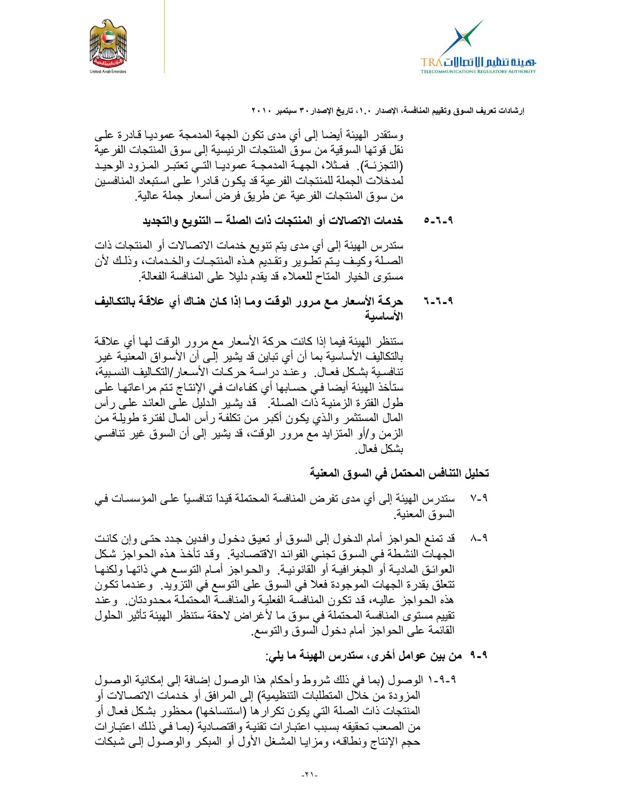



وسنقدر الهيئة أيضا إلى أي مدى نكون الجهة المدمجة عموديا قادر ة علـي نقل قو تها السو قية من سو ق المنتجات الر ئيسية إلى سو ق المنتجات الفر عية (التجزئـة). فمـثلا، الجهـة المدمجـة عموديـا التـى تعتبـر المـزود الوحيـد لمدخلات الجملة للمنتجات الفرعية قد يكون قادرا على استبعاد المنافسين من سو ق المنتجات الفر عية عن طريق فر ض أسعار ِ جملة عالية.

> خدمات الاتصالات أو المنتجات ذات الصلة – التنويع والتجديد  $0 - 1 - 9$

ستدرس الهيئة إلى أي مدى يتم تنويع خدمات الاتصـالات أو المنتجات ذات الصلة وكيف يتم تطوير وتقديم هذه المنتجات والخدمات، وذلك لأن مستوى الخيار المتاح للعملاء قد يقدم دليلا على المنافسة الفعالة.

حركـة الأسـعار مـع مـرور الوقت ومـا إذا كـان هنـاك أي علاقـة بـالتكـاليف  $7 - 7 - 9$ الأساسية

ستنظر الهيئة فيما إذا كانت حركة الأسعار مع مرور الوقت لها أي علاقة بالنكاليف الأساسية بما أن أي تباين قد يشير إلـى أن الأسواق المعنيـة غير تنافسية بشكل فعـال. وعنـد در اسـة حركـات الأسـعار /التكـاليف النسـبية، ستأخذ الهيئة أيضا في حسابها أي كفاءات في الإنتاج تتم مراعاتها على طول الفترة الزمنية ذَّات الصلة فقد يشير الَّدليل علَّى الْعائد على رأس المال المستثمر والذي يكون أكبر من تكلفة رأس المال لفترة طويلة من الزمن و/أو المنز ايد مع مرور الوقت، قد يشير إلى أن السوق غير تنافسي بشكل فعال

تحليل التنافس المحتمل في السوق المعنية

- ستدرس الهيئة إلى أي مدى تفرض المنافسة المحتملة قيداً تنافسياً على المؤسسات في  $V - 9$ السوق المعنبة.
- قد تمنع الحواجز أمام الدخول إلى السوق أو تعيق دخول وافدين جدد حتى وإن كانت  $\Lambda$ – 9 الجهات النشطة في السوق تجني الفوائد الاقتصـادية. وقد تأخذ هذه الحواجز شكل العوائق الماديـة أو الجغرافيـة أو القانونيـة. والحـواجز أمـام التوسـع هـى ذاتـها ولكنهـا تتعلَّق بقدرة الجهات الموجودة فعلاً في السوق على التوسع في التزويد. وعندما تكون هذه الحواجز عاليه، قد تكون المنافسة الفعلية والمنافسة المحتملة محدودتان. وعند تقييم مستوى المنافسة المحتملة في سوق ما لأغراض لاحقة ستنظر الهيئة تأثير الحلول القائمة على الحواجز أمام دخول السوق والتوسع
	- ٩-٩ من بين عوامل أخر ي، ستدرس الـهيئة ما يلي:
- ٩-٩-١ الوصول (بما في ذلك شروط وأحكام هذا الوصول إضافة إلى إمكانية الوصـول المزودة من خلال المتطلبات التنظيمية) إلى المرافق أو خدمات الاتصــالات أو المنتجات ذات الصلة التي يكون تكر ار ها (استنساخها) محظور بشكل فعـال أو من الصعب تحقيقه بسبب اعتبارات تقنية واقتصـادية (بمـا فـي ذلك اعتبـارات حجم الإنتاج ونطاقه، ومزايـا المشـغل الأول أو المبكر والوصـول إلـى شبكات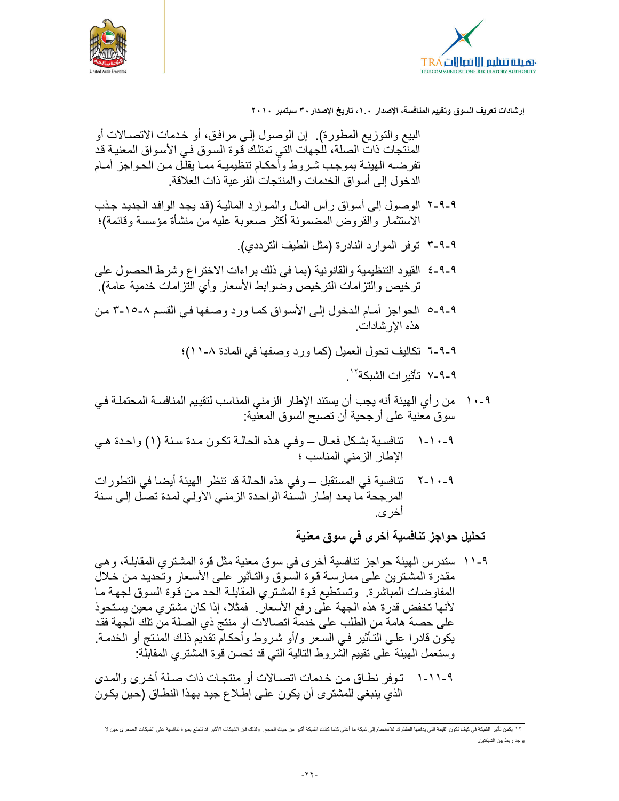



البيع والتوزيع المطورة). إن الوصول إلى مرافق، أو خدمات الاتصـالات أو .<br>المنتجات ذات الصلة، للجهات التي تمتلك قوة السوق في الأسواق المعنية قد تفرضـه الهيئـة بموجب شروط وأحكـام تنظيميـة ممـا يقلّل مـن الحـواجز أمـام الدخول إلى أسواق الخدمات والمنتجات الفرعية ذات العلاقة

- ٩-٩-٢ الوصول إلى أسواق رأس المال والموارد المالية (قد يجد الوافد الجديد جذب الاستثمار والقروض المضمونة أكثر صعوبة عليه من منشأة مؤسسة وقائمة)؛
	- ٩-٩-٣ توفر الموارد النادرة (مثل الطيف الترددي).
- ٩-٩-٤ القيود التنظيمية والقانونية (بما في ذلك براءات الاختراع وشرط الحصول على ترخيص والنزامات النرخيص وصوابط الأسعار وأي النزامات خدمية عامة).
- ٩-٩-٥ الحواجز أمـام الدخول إلـى الأسواق كمـا ورد وصـفها فـي القسم ٨-١٥-٣ من هذه الار شادات
	- ٩-٩-٦ تكاليف تحول العميل (كما ورد وصفها في المادة ٨-١١)؛

٩-٩-٧ تأثير ات الشبكة''.

- ٩ ١٠ من ر أي الهيئة أنه يجب أن يستند الإطار الزمني المناسب لتقييم المنافسة المحتملـة فـي سوق معنية على أرجحية أن تصبح السوق المعنية:
- ٩-١٠-١ تنافسية بشكل فعال ــ وفي هذه الحالة تكون مدة سنة (١) واحدة هي الإطار الزمنى المناسب ؛
- تنافسية في المستقبل ـــ وفي هذه الحالة قد تنظر الهيئة أيضا في التطورات  $Y - 1 - 9$ المرجحة ما بعد إطار السنَّة الواحدة الزمني الأولى لمدة تصلُّ إلى سنة أخر ي.

## تحليل حواجز تنافسية أخرى في سوق معنية

- ٩-١١ ستدرس الهيئة حواجز تنافسية أخرى في سوق معنية مثل قوة المشتري المقابلة، وهي مقدرة المشترين على ممارسة قوة السوق والتأثير على الأسعار وتحديد من خلال المفاوضات المباشرة. وتستطيع قوة المشتري المقابلة الحد من قوة السوق لجهة ما لأنها تخفض قدرة هذه الجهة علَّى رفع الأسعار . فمثلا، إذا كان مشتري معين يستحوذ على حصـة هامة من الطلب على خدمة اتصـالات أو منتج ذي الصلة من تلك الجهة فقد يكون قادرا علـى التـأثير فـي السـعر و/أو شـروط وأحكـام تقديم ذلك المنـتج أو الخدمـة وستعمل الهيئة على نقييم الشروط النالية التي قد نحسن قوة المشتري المقابلة:
- توفر نطـاق مـن خـدمات اتصــالات أو منتجـات ذات صـلة أخـرى والمـدى  $1 - 11 - 9$ الذي ينبغي للمشتري أن يكون على إطلاع جيد بهذا النطـاق (حين يكـون

١٢ يكمن تأثير الشبكة في كيف تكون القيمة التي ينفعها المشركة المراسلي المستقبل المعالم المعالم المستقلات الأخر قد تتمتع بميزة تنافسة على الشبكت الأعبر قد تتمع بميزة تنافسة على الشبكت الأعبر قد تتمع بميزة تنافسة على الشبكت ا يوجد ربط بين الشبكتين.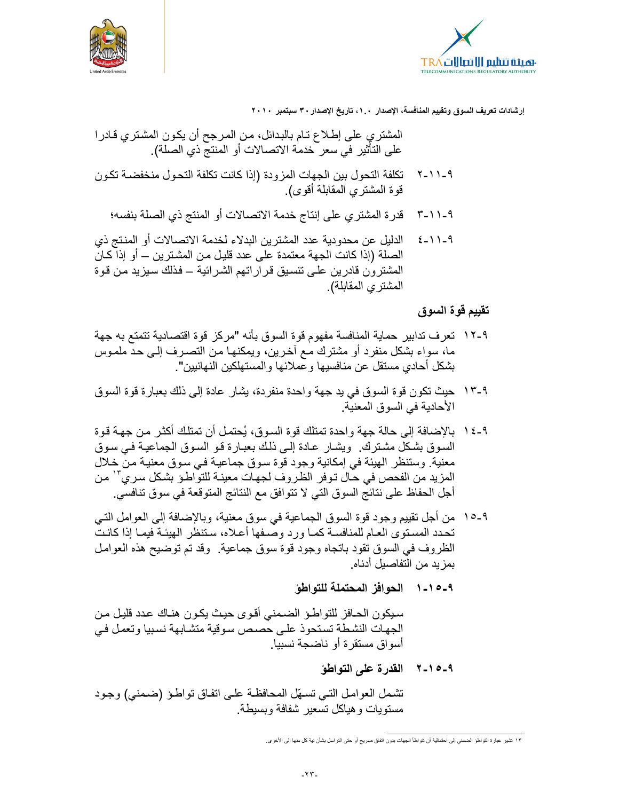



- تكلفة التحول بين الجهات المزودة (إذا كانت تكلفة التحول منخفضـة تكون  $Y - 11 - 9$ قوة المشتري المقابلة أقوى).
	- قدرة المشتري على إنتاج خدمة الاتصالات أو المنتج ذي الصلة بنفسه؛  $T-11-9$
- الدليل عن محدودية عدد المشترين البدلاء لخدمة الاتصالات أو المنتج ذي  $2 - 11 - 9$ الصلة (إذا كانت الجهة معتمدة على عدد قليل من المشترين — أو إذا كـان المشترون قادرين على نتسيق قراراتهم الشرائية – فذلك سيزيد من قوة المشتر ي المقابلة).

#### تقييم قوة السوق

- ١-١٢ تعرف تدابير حماية المنافسة مفهوم قوة السوق بأنه "مركز قوة اقتصادية تتمتع به جهة ما، سواء بشكل منفرد أو مشترك مـع أخرين، ويمكنهـا مـن التصـرف إلـى حـد ملمـوس بشكل أحادي مستقل عن منافسيها وعملائها والمستهلكين النهائيين".
- ١-١٣ حيث تكون قوة السوق في يد جهة واحدة منفردة، يشار عادة إلى ذلك بعبارة قوة السوق الأحادية في السوق المعنية.
- ٩-١٤ بالإضافة إلى حالة جهة واحدة تمتلك قوة السوق، يُحتمل أن تمتلك أكثر من جهة قوة السوق بشكل مشترك. ويشار عادة إلى ذلك بعبارة قو السوق الجماعية في سوق معنية. وستنظر الهيئة في إمكانية وجود قوة سوق جماعية في سوق معنية من خلال المزيد من الفحص في حال توفر الظروف لجهات معينــة للتواطـؤ بشكل سري™ من أجل الحفاظ على نتائج السوق التي لا تتوافق مع النتائج المتوقعة في سوق تنافسي.
- ٩-١٥ من أجل نقييم وجود قوة السوق الجماعية في سوق معنية، وبالإضافة إلى العوامل التـي تحدد المسنوي العـام للمنافسـة كمـا ورد وصـفها أعـلاه، سنتظر الـهيئـة فيمـا إذا كانـت الظروف في السوق نقود باتجاه وجود قوة سوق جماعية. وقد تم توضيح هذه العوامل بمز يد من التفاصيل أدناه ِ
	- ٩-١٥-١ الحوافز المحتملة للتواطؤ

سبكون الحـافز للتواطـؤ الضـمني أقـوى حيث يكـون هنـاك عـدد قليـل مـن الجهات النشطة تستحوذ على حصص سوقية متشابهة نسبيا وتعمل في أسو اق مستقر ة أو ناضجة نسبيا.

٩\_٥ ١ ـ ٢ - القدرة على التواطؤ

تشمل العوامل التي تسهّل المحافظة على اتفاق تواطؤ (ضمني) وجود مستويات وهياكل تسعير شفافة وبسيطة

١٣ تشير عبارة التواطؤ الضمني إلى احتمالية أن تتواطأ الجهات بدون اتفاق صريح أو حتى التراسل بشأن نية كل منها إلى الأخرى.